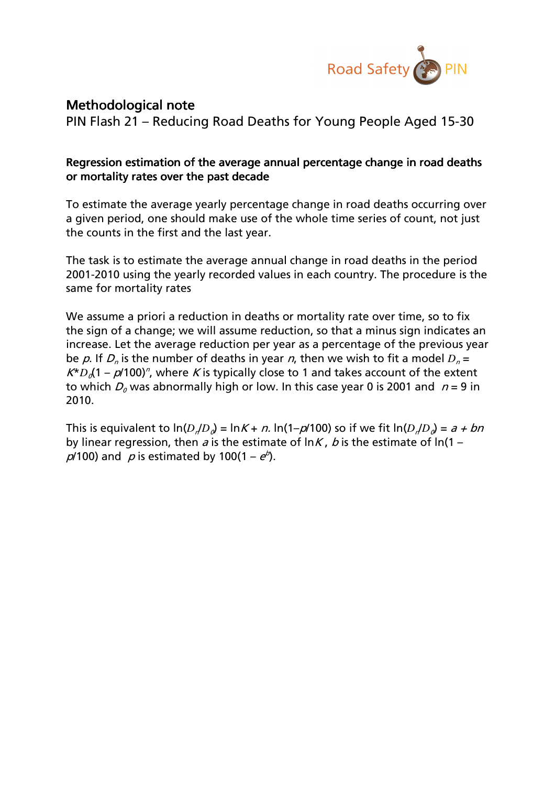

## Methodological note

PIN Flash 21 – Reducing Road Deaths for Young People Aged 15-30

## Regression estimation of the average annual percentage change in road deaths or mortality rates over the past decade

To estimate the average yearly percentage change in road deaths occurring over a given period, one should make use of the whole time series of count, not just the counts in the first and the last year.

The task is to estimate the average annual change in road deaths in the period 2001-2010 using the yearly recorded values in each country. The procedure is the same for mortality rates

We assume a priori a reduction in deaths or mortality rate over time, so to fix the sign of a change; we will assume reduction, so that a minus sign indicates an increase. Let the average reduction per year as a percentage of the previous year be p. If  $D_n$  is the number of deaths in year n, then we wish to fit a model  $D_n =$  $K^*D_0(1-p/100)^n$ , where K is typically close to 1 and takes account of the extent to which  $D_0$  was abnormally high or low. In this case year 0 is 2001 and  $n = 9$  in 2010.

This is equivalent to  $\ln(D_p/D_q) = \ln K + n$ .  $\ln(1-p/100)$  so if we fit  $\ln(D_p/D_q) = a + bn$ by linear regression, then a is the estimate of  $\ln K$ , b is the estimate of  $\ln(1 \rho$ /100) and  $\rho$  is estimated by 100(1 –  $e^{\phi}$ ).